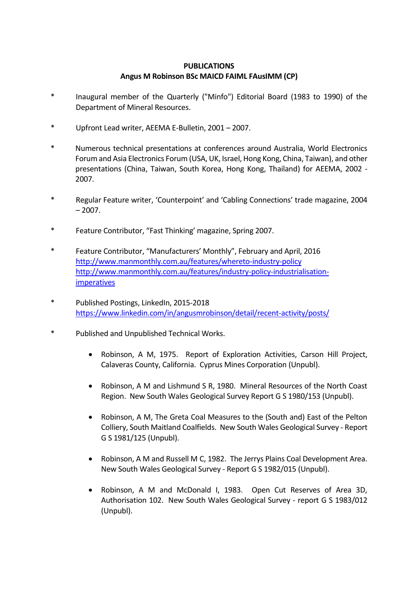## **PUBLICATIONS Angus M Robinson BSc MAICD FAIML FAusIMM (CP)**

- \* Inaugural member of the Quarterly ("Minfo") Editorial Board (1983 to 1990) of the Department of Mineral Resources.
- \* Upfront Lead writer, AEEMA E-Bulletin, 2001 2007.
- \* Numerous technical presentations at conferences around Australia, World Electronics Forum and Asia Electronics Forum (USA, UK, Israel, Hong Kong, China, Taiwan), and other presentations (China, Taiwan, South Korea, Hong Kong, Thailand) for AEEMA, 2002 - 2007.
- \* Regular Feature writer, 'Counterpoint' and 'Cabling Connections' trade magazine, 2004  $-2007.$
- \* Feature Contributor, "Fast Thinking' magazine, Spring 2007.
- \* Feature Contributor, "Manufacturers' Monthly", February and April, 2016 <http://www.manmonthly.com.au/features/whereto-industry-policy> [http://www.manmonthly.com.au/features/industry-policy-industrialisation](http://www.manmonthly.com.au/features/industry-policy-industrialisation-imperatives)[imperatives](http://www.manmonthly.com.au/features/industry-policy-industrialisation-imperatives)
- \* Published Postings, LinkedIn, 2015-2018 <https://www.linkedin.com/in/angusmrobinson/detail/recent-activity/posts/>
- \* Published and Unpublished Technical Works.
	- Robinson, A M, 1975. Report of Exploration Activities, Carson Hill Project, Calaveras County, California. Cyprus Mines Corporation (Unpubl).
	- Robinson, A M and Lishmund S R, 1980. Mineral Resources of the North Coast Region. New South Wales Geological Survey Report G S 1980/153 (Unpubl).
	- Robinson, A M, The Greta Coal Measures to the (South and) East of the Pelton Colliery, South Maitland Coalfields. New South Wales Geological Survey - Report G S 1981/125 (Unpubl).
	- Robinson, A M and Russell M C, 1982. The Jerrys Plains Coal Development Area. New South Wales Geological Survey - Report G S 1982/015 (Unpubl).
	- Robinson, A M and McDonald I, 1983. Open Cut Reserves of Area 3D, Authorisation 102. New South Wales Geological Survey - report G S 1983/012 (Unpubl).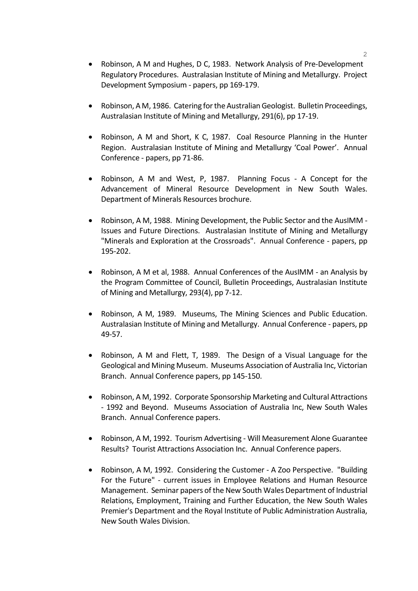- Robinson, A M and Hughes, D C, 1983. Network Analysis of Pre-Development Regulatory Procedures. Australasian Institute of Mining and Metallurgy. Project Development Symposium - papers, pp 169-179.
- Robinson, A M, 1986. Catering for the Australian Geologist. Bulletin Proceedings, Australasian Institute of Mining and Metallurgy, 291(6), pp 17-19.
- Robinson, A M and Short, K C, 1987. Coal Resource Planning in the Hunter Region. Australasian Institute of Mining and Metallurgy 'Coal Power'. Annual Conference - papers, pp 71-86.
- Robinson, A M and West, P, 1987. Planning Focus A Concept for the Advancement of Mineral Resource Development in New South Wales. Department of Minerals Resources brochure.
- Robinson, A M, 1988. Mining Development, the Public Sector and the AusIMM Issues and Future Directions. Australasian Institute of Mining and Metallurgy "Minerals and Exploration at the Crossroads". Annual Conference - papers, pp 195-202.
- Robinson, A M et al, 1988. Annual Conferences of the AusIMM an Analysis by the Program Committee of Council, Bulletin Proceedings, Australasian Institute of Mining and Metallurgy, 293(4), pp 7-12.
- Robinson, A M, 1989. Museums, The Mining Sciences and Public Education. Australasian Institute of Mining and Metallurgy. Annual Conference - papers, pp 49-57.
- Robinson, A M and Flett, T, 1989. The Design of a Visual Language for the Geological and Mining Museum. Museums Association of Australia Inc, Victorian Branch. Annual Conference papers, pp 145-150.
- Robinson, A M, 1992. Corporate Sponsorship Marketing and Cultural Attractions - 1992 and Beyond. Museums Association of Australia Inc, New South Wales Branch. Annual Conference papers.
- Robinson, A M, 1992. Tourism Advertising Will Measurement Alone Guarantee Results? Tourist Attractions Association Inc. Annual Conference papers.
- Robinson, A M, 1992. Considering the Customer A Zoo Perspective. "Building For the Future" - current issues in Employee Relations and Human Resource Management. Seminar papers of the New South Wales Department of Industrial Relations, Employment, Training and Further Education, the New South Wales Premier's Department and the Royal Institute of Public Administration Australia, New South Wales Division.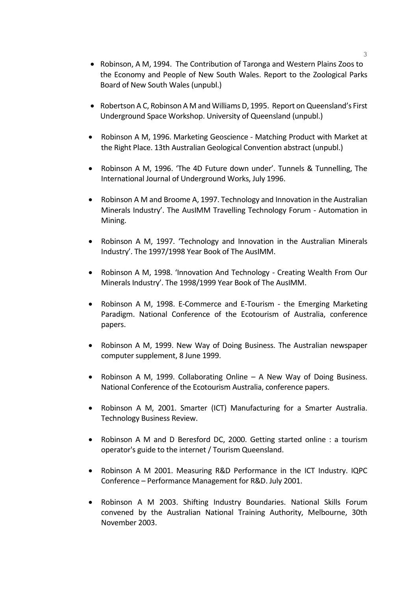- Robinson, A M, 1994. The Contribution of Taronga and Western Plains Zoos to the Economy and People of New South Wales. Report to the Zoological Parks Board of New South Wales (unpubl.)
- Robertson A C, Robinson A M and Williams D, 1995. Report on Queensland's First Underground Space Workshop. University of Queensland (unpubl.)
- Robinson A M, 1996. Marketing Geoscience Matching Product with Market at the Right Place. 13th Australian Geological Convention abstract (unpubl.)
- Robinson A M, 1996. 'The 4D Future down under'. Tunnels & Tunnelling, The International Journal of Underground Works, July 1996.
- Robinson A M and Broome A, 1997. Technology and Innovation in the Australian Minerals Industry'. The AusIMM Travelling Technology Forum - Automation in Mining.
- Robinson A M, 1997. 'Technology and Innovation in the Australian Minerals Industry'. The 1997/1998 Year Book of The AusIMM.
- Robinson A M, 1998. 'Innovation And Technology Creating Wealth From Our Minerals Industry'. The 1998/1999 Year Book of The AusIMM.
- Robinson A M, 1998. E-Commerce and E-Tourism the Emerging Marketing Paradigm. National Conference of the Ecotourism of Australia, conference papers.
- Robinson A M, 1999. New Way of Doing Business. The Australian newspaper computer supplement, 8 June 1999.
- Robinson A M, 1999. Collaborating Online A New Way of Doing Business. National Conference of the Ecotourism Australia, conference papers.
- Robinson A M, 2001. Smarter (ICT) Manufacturing for a Smarter Australia. Technology Business Review.
- Robinson A M and D Beresford DC, 2000. Getting started online : a tourism operator's guide to the internet / Tourism Queensland.
- Robinson A M 2001. Measuring R&D Performance in the ICT Industry. IQPC Conference – Performance Management for R&D. July 2001.
- Robinson A M 2003. Shifting Industry Boundaries. National Skills Forum convened by the Australian National Training Authority, Melbourne, 30th November 2003.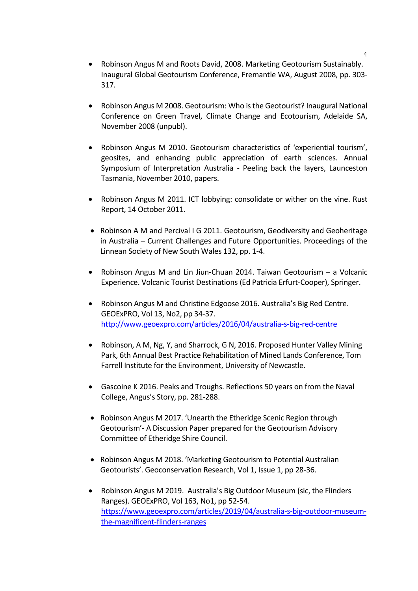- Robinson Angus M and Roots David, 2008. Marketing Geotourism Sustainably. Inaugural Global Geotourism Conference, Fremantle WA, August 2008, pp. 303- 317.
- Robinson Angus M 2008. Geotourism: Who is the Geotourist? Inaugural National Conference on Green Travel, Climate Change and Ecotourism, Adelaide SA, November 2008 (unpubl).
- Robinson Angus M 2010. Geotourism characteristics of 'experiential tourism', geosites, and enhancing public appreciation of earth sciences. Annual Symposium of Interpretation Australia - Peeling back the layers, Launceston Tasmania, November 2010, papers.
- Robinson Angus M 2011. ICT lobbying: consolidate or wither on the vine. Rust Report, 14 October 2011.
- Robinson A M and Percival I G 2011. Geotourism, Geodiversity and Geoheritage in Australia – Current Challenges and Future Opportunities. Proceedings of the Linnean Society of New South Wales 132, pp. 1-4.
- Robinson Angus M and Lin Jiun-Chuan 2014. Taiwan Geotourism a Volcanic Experience. Volcanic Tourist Destinations (Ed Patricia Erfurt-Cooper), Springer.
- Robinson Angus M and Christine Edgoose 2016. Australia's Big Red Centre. GEOExPRO, Vol 13, No2, pp 34-37. <http://www.geoexpro.com/articles/2016/04/australia-s-big-red-centre>
- Robinson, A M, Ng, Y, and Sharrock, G N, 2016. Proposed Hunter Valley Mining Park, 6th Annual Best Practice Rehabilitation of Mined Lands Conference, Tom Farrell Institute for the Environment, University of Newcastle.
- Gascoine K 2016. Peaks and Troughs. Reflections 50 years on from the Naval College, Angus's Story, pp. 281-288.
- Robinson Angus M 2017. 'Unearth the Etheridge Scenic Region through Geotourism'- A Discussion Paper prepared for the Geotourism Advisory Committee of Etheridge Shire Council.
- Robinson Angus M 2018. 'Marketing Geotourism to Potential Australian Geotourists'. Geoconservation Research, Vol 1, Issue 1, pp 28-36.
- Robinson Angus M 2019. Australia's Big Outdoor Museum (sic, the Flinders Ranges). GEOExPRO, Vol 163, No1, pp 52-54. [https://www.geoexpro.com/articles/2019/04/australia-s-big-outdoor-museum](https://www.geoexpro.com/articles/2019/04/australia-s-big-outdoor-museum-the-magnificent-flinders-ranges)[the-magnificent-flinders-ranges](https://www.geoexpro.com/articles/2019/04/australia-s-big-outdoor-museum-the-magnificent-flinders-ranges)